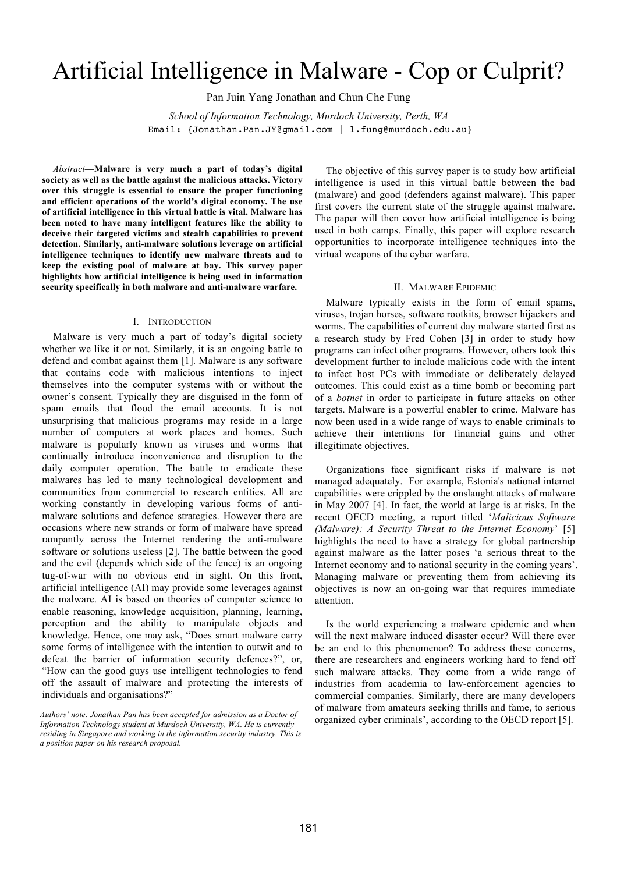# Artificial Intelligence in Malware - Cop or Culprit?

Pan Juin Yang Jonathan and Chun Che Fung

*School of Information Technology, Murdoch University, Perth, WA* Email: {Jonathan.Pan.JY@gmail.com | l.fung@murdoch.edu.au}

*Abstract***—Malware is very much a part of today's digital society as well as the battle against the malicious attacks. Victory over this struggle is essential to ensure the proper functioning and efficient operations of the world's digital economy. The use of artificial intelligence in this virtual battle is vital. Malware has been noted to have many intelligent features like the ability to deceive their targeted victims and stealth capabilities to prevent detection. Similarly, anti-malware solutions leverage on artificial intelligence techniques to identify new malware threats and to keep the existing pool of malware at bay. This survey paper highlights how artificial intelligence is being used in information security specifically in both malware and anti-malware warfare.**

#### I. INTRODUCTION

Malware is very much a part of today's digital society whether we like it or not. Similarly, it is an ongoing battle to defend and combat against them [1]. Malware is any software that contains code with malicious intentions to inject themselves into the computer systems with or without the owner's consent. Typically they are disguised in the form of spam emails that flood the email accounts. It is not unsurprising that malicious programs may reside in a large number of computers at work places and homes. Such malware is popularly known as viruses and worms that continually introduce inconvenience and disruption to the daily computer operation. The battle to eradicate these malwares has led to many technological development and communities from commercial to research entities. All are working constantly in developing various forms of antimalware solutions and defence strategies. However there are occasions where new strands or form of malware have spread rampantly across the Internet rendering the anti-malware software or solutions useless [2]. The battle between the good and the evil (depends which side of the fence) is an ongoing tug-of-war with no obvious end in sight. On this front, artificial intelligence (AI) may provide some leverages against the malware. AI is based on theories of computer science to enable reasoning, knowledge acquisition, planning, learning, perception and the ability to manipulate objects and knowledge. Hence, one may ask, "Does smart malware carry some forms of intelligence with the intention to outwit and to defeat the barrier of information security defences?", or, "How can the good guys use intelligent technologies to fend off the assault of malware and protecting the interests of individuals and organisations?"

The objective of this survey paper is to study how artificial intelligence is used in this virtual battle between the bad (malware) and good (defenders against malware). This paper first covers the current state of the struggle against malware. The paper will then cover how artificial intelligence is being used in both camps. Finally, this paper will explore research opportunities to incorporate intelligence techniques into the virtual weapons of the cyber warfare.

#### II. MALWARE EPIDEMIC

Malware typically exists in the form of email spams, viruses, trojan horses, software rootkits, browser hijackers and worms. The capabilities of current day malware started first as a research study by Fred Cohen [3] in order to study how programs can infect other programs. However, others took this development further to include malicious code with the intent to infect host PCs with immediate or deliberately delayed outcomes. This could exist as a time bomb or becoming part of a *botnet* in order to participate in future attacks on other targets. Malware is a powerful enabler to crime. Malware has now been used in a wide range of ways to enable criminals to achieve their intentions for financial gains and other illegitimate objectives.

Organizations face significant risks if malware is not managed adequately. For example, Estonia's national internet capabilities were crippled by the onslaught attacks of malware in May 2007 [4]. In fact, the world at large is at risks. In the recent OECD meeting, a report titled '*Malicious Software (Malware): A Security Threat to the Internet Economy*' [5] highlights the need to have a strategy for global partnership against malware as the latter poses 'a serious threat to the Internet economy and to national security in the coming years'. Managing malware or preventing them from achieving its objectives is now an on-going war that requires immediate attention.

Is the world experiencing a malware epidemic and when will the next malware induced disaster occur? Will there ever be an end to this phenomenon? To address these concerns, there are researchers and engineers working hard to fend off such malware attacks. They come from a wide range of industries from academia to law-enforcement agencies to commercial companies. Similarly, there are many developers of malware from amateurs seeking thrills and fame, to serious *Authors' note: Jonathan Pan has been accepted for admission as a Doctor of* organized cyber criminals', according to the OECD report [5].

*Information Technology student at Murdoch University, WA. He is currently residing in Singapore and working in the information security industry. This is a position paper on his research proposal.*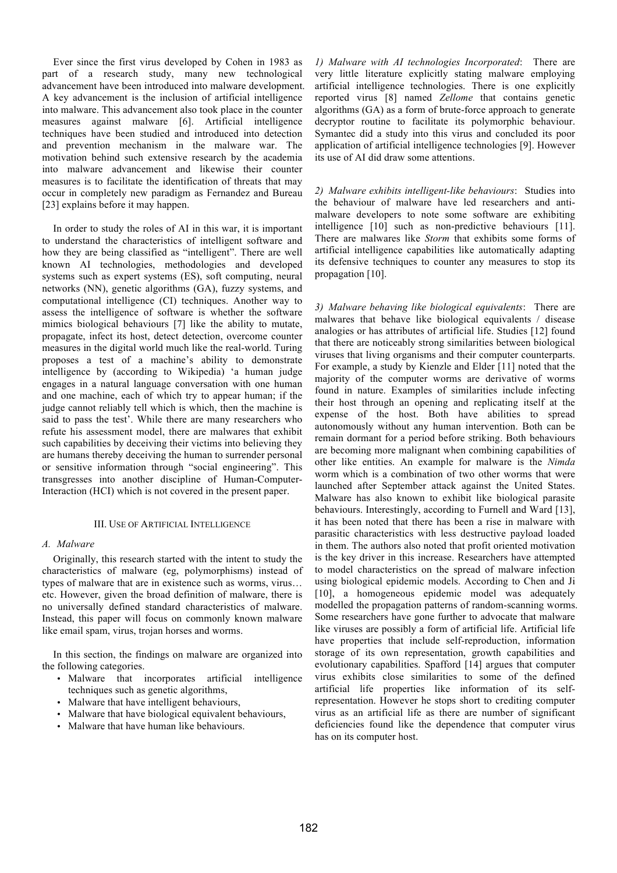Ever since the first virus developed by Cohen in 1983 as part of a research study, many new technological advancement have been introduced into malware development. A key advancement is the inclusion of artificial intelligence into malware. This advancement also took place in the counter measures against malware [6]. Artificial intelligence techniques have been studied and introduced into detection and prevention mechanism in the malware war. The motivation behind such extensive research by the academia into malware advancement and likewise their counter measures is to facilitate the identification of threats that may occur in completely new paradigm as Fernandez and Bureau [23] explains before it may happen.

In order to study the roles of AI in this war, it is important to understand the characteristics of intelligent software and how they are being classified as "intelligent". There are well known AI technologies, methodologies and developed systems such as expert systems (ES), soft computing, neural networks (NN), genetic algorithms (GA), fuzzy systems, and computational intelligence (CI) techniques. Another way to assess the intelligence of software is whether the software mimics biological behaviours [7] like the ability to mutate, propagate, infect its host, detect detection, overcome counter measures in the digital world much like the real-world. Turing proposes a test of a machine's ability to demonstrate intelligence by (according to Wikipedia) 'a human judge engages in a natural language conversation with one human and one machine, each of which try to appear human; if the judge cannot reliably tell which is which, then the machine is said to pass the test'. While there are many researchers who refute his assessment model, there are malwares that exhibit such capabilities by deceiving their victims into believing they are humans thereby deceiving the human to surrender personal or sensitive information through "social engineering". This transgresses into another discipline of Human-Computer-Interaction (HCI) which is not covered in the present paper.

# III. USE OF ARTIFICIAL INTELLIGENCE

#### *A. Malware*

Originally, this research started with the intent to study the characteristics of malware (eg, polymorphisms) instead of types of malware that are in existence such as worms, virus… etc. However, given the broad definition of malware, there is no universally defined standard characteristics of malware. Instead, this paper will focus on commonly known malware like email spam, virus, trojan horses and worms.

In this section, the findings on malware are organized into the following categories.

- Malware that incorporates artificial intelligence techniques such as genetic algorithms,
- Malware that have intelligent behaviours,
- Malware that have biological equivalent behaviours,
- Malware that have human like behaviours.

*1) Malware with AI technologies Incorporated*: There are very little literature explicitly stating malware employing artificial intelligence technologies. There is one explicitly reported virus [8] named *Zellome* that contains genetic algorithms (GA) as a form of brute-force approach to generate decryptor routine to facilitate its polymorphic behaviour. Symantec did a study into this virus and concluded its poor application of artificial intelligence technologies [9]. However its use of AI did draw some attentions.

*2) Malware exhibits intelligent-like behaviours*: Studies into the behaviour of malware have led researchers and antimalware developers to note some software are exhibiting intelligence [10] such as non-predictive behaviours [11]. There are malwares like *Storm* that exhibits some forms of artificial intelligence capabilities like automatically adapting its defensive techniques to counter any measures to stop its propagation [10].

*3) Malware behaving like biological equivalents*: There are malwares that behave like biological equivalents / disease analogies or has attributes of artificial life. Studies [12] found that there are noticeably strong similarities between biological viruses that living organisms and their computer counterparts. For example, a study by Kienzle and Elder [11] noted that the majority of the computer worms are derivative of worms found in nature. Examples of similarities include infecting their host through an opening and replicating itself at the expense of the host. Both have abilities to spread autonomously without any human intervention. Both can be remain dormant for a period before striking. Both behaviours are becoming more malignant when combining capabilities of other like entities. An example for malware is the *Nimda* worm which is a combination of two other worms that were launched after September attack against the United States. Malware has also known to exhibit like biological parasite behaviours. Interestingly, according to Furnell and Ward [13], it has been noted that there has been a rise in malware with parasitic characteristics with less destructive payload loaded in them. The authors also noted that profit oriented motivation is the key driver in this increase. Researchers have attempted to model characteristics on the spread of malware infection using biological epidemic models. According to Chen and Ji [10], a homogeneous epidemic model was adequately modelled the propagation patterns of random-scanning worms. Some researchers have gone further to advocate that malware like viruses are possibly a form of artificial life. Artificial life have properties that include self-reproduction, information storage of its own representation, growth capabilities and evolutionary capabilities. Spafford [14] argues that computer virus exhibits close similarities to some of the defined artificial life properties like information of its selfrepresentation. However he stops short to crediting computer virus as an artificial life as there are number of significant deficiencies found like the dependence that computer virus has on its computer host.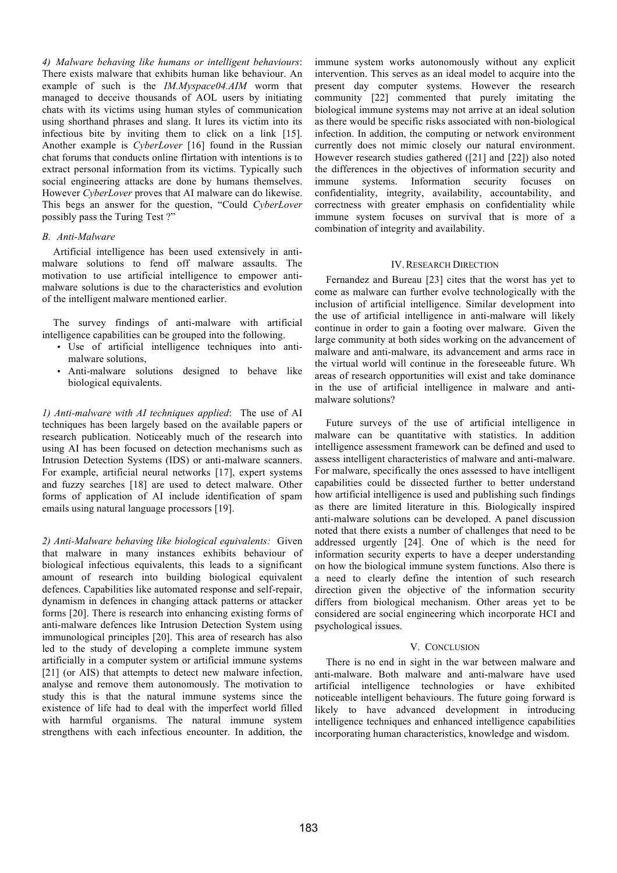*4) Malware behaving like humans or intelligent behaviours*: There exists malware that exhibits human like behaviour. An example of such is the *IM.Myspace04.AIM* worm that managed to deceive thousands of AOL users by initiating chats with its victims using human styles of communication using shorthand phrases and slang. It lures its victim into its infectious bite by inviting them to click on a link [15]. Another example is *CyberLover* [16] found in the Russian chat forums that conducts online flirtation with intentions is to extract personal information from its victims. Typically such social engineering attacks are done by humans themselves. However *CyberLover* proves that AI malware can do likewise. This begs an answer for the question, "Could *CyberLover* possibly pass the Turing Test ?"

# *B. Anti-Malware*

Artificial intelligence has been used extensively in antimalware solutions to fend off malware assaults. The motivation to use artificial intelligence to empower antimalware solutions is due to the characteristics and evolution of the intelligent malware mentioned earlier.

The survey findings of anti-malware with artificial intelligence capabilities can be grouped into the following.

- Use of artificial intelligence techniques into antimalware solutions,
- Anti-malware solutions designed to behave like biological equivalents.

*1) Anti-malware with AI techniques applied*: The use of AI techniques has been largely based on the available papers or research publication. Noticeably much of the research into using AI has been focused on detection mechanisms such as Intrusion Detection Systems (IDS) or anti-malware scanners. For example, artificial neural networks [17], expert systems and fuzzy searches [18] are used to detect malware. Other forms of application of AI include identification of spam emails using natural language processors [19].

*2) Anti-Malware behaving like biological equivalents:* Given that malware in many instances exhibits behaviour of biological infectious equivalents, this leads to a significant amount of research into building biological equivalent defences. Capabilities like automated response and self-repair, dynamism in defences in changing attack patterns or attacker forms [20]. There is research into enhancing existing forms of anti-malware defences like Intrusion Detection System using immunological principles [20]. This area of research has also led to the study of developing a complete immune system artificially in a computer system or artificial immune systems [21] (or AIS) that attempts to detect new malware infection, analyse and remove them autonomously. The motivation to study this is that the natural immune systems since the existence of life had to deal with the imperfect world filled with harmful organisms. The natural immune system strengthens with each infectious encounter. In addition, the

immune system works autonomously without any explicit intervention. This serves as an ideal model to acquire into the present day computer systems. However the research community [22] commented that purely imitating the biological immune systems may not arrive at an ideal solution as there would be specific risks associated with non-biological infection. In addition, the computing or network environment currently does not mimic closely our natural environment. However research studies gathered ([21] and [22]) also noted the differences in the objectives of information security and immune systems. Information security focuses on confidentiality, integrity, availability, accountability, and correctness with greater emphasis on confidentiality while immune system focuses on survival that is more of a combination of integrity and availability.

#### IV.RESEARCH DIRECTION

Fernandez and Bureau [23] cites that the worst has yet to come as malware can further evolve technologically with the inclusion of artificial intelligence. Similar development into the use of artificial intelligence in anti-malware will likely continue in order to gain a footing over malware. Given the large community at both sides working on the advancement of malware and anti-malware, its advancement and arms race in the virtual world will continue in the foreseeable future. Wh areas of research opportunities will exist and take dominance in the use of artificial intelligence in malware and antimalware solutions?

Future surveys of the use of artificial intelligence in malware can be quantitative with statistics. In addition intelligence assessment framework can be defined and used to assess intelligent characteristics of malware and anti-malware. For malware, specifically the ones assessed to have intelligent capabilities could be dissected further to better understand how artificial intelligence is used and publishing such findings as there are limited literature in this. Biologically inspired anti-malware solutions can be developed. A panel discussion noted that there exists a number of challenges that need to be addressed urgently [24]. One of which is the need for information security experts to have a deeper understanding on how the biological immune system functions. Also there is a need to clearly define the intention of such research direction given the objective of the information security differs from biological mechanism. Other areas yet to be considered are social engineering which incorporate HCI and psychological issues.

# V. CONCLUSION

There is no end in sight in the war between malware and anti-malware. Both malware and anti-malware have used artificial intelligence technologies or have exhibited noticeable intelligent behaviours. The future going forward is likely to have advanced development in introducing intelligence techniques and enhanced intelligence capabilities incorporating human characteristics, knowledge and wisdom.